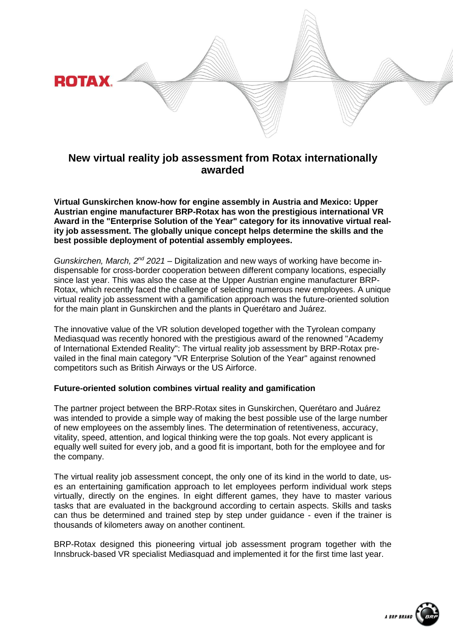

# **New virtual reality job assessment from Rotax internationally awarded**

**Virtual Gunskirchen know-how for engine assembly in Austria and Mexico: Upper Austrian engine manufacturer BRP-Rotax has won the prestigious international VR Award in the "Enterprise Solution of the Year" category for its innovative virtual reality job assessment. The globally unique concept helps determine the skills and the best possible deployment of potential assembly employees.**

*Gunskirchen, March, 2<sup>nd</sup>* 2021 – Digitalization and new ways of working have become indispensable for cross-border cooperation between different company locations, especially since last year. This was also the case at the Upper Austrian engine manufacturer BRP-Rotax, which recently faced the challenge of selecting numerous new employees. A unique virtual reality job assessment with a gamification approach was the future-oriented solution for the main plant in Gunskirchen and the plants in Querétaro and Juárez.

The innovative value of the VR solution developed together with the Tyrolean company Mediasquad was recently honored with the prestigious award of the renowned "Academy of International Extended Reality": The virtual reality job assessment by BRP-Rotax prevailed in the final main category "VR Enterprise Solution of the Year" against renowned competitors such as British Airways or the US Airforce.

# **Future-oriented solution combines virtual reality and gamification**

The partner project between the BRP-Rotax sites in Gunskirchen, Querétaro and Juárez was intended to provide a simple way of making the best possible use of the large number of new employees on the assembly lines. The determination of retentiveness, accuracy, vitality, speed, attention, and logical thinking were the top goals. Not every applicant is equally well suited for every job, and a good fit is important, both for the employee and for the company.

The virtual reality job assessment concept, the only one of its kind in the world to date, uses an entertaining gamification approach to let employees perform individual work steps virtually, directly on the engines. In eight different games, they have to master various tasks that are evaluated in the background according to certain aspects. Skills and tasks can thus be determined and trained step by step under guidance - even if the trainer is thousands of kilometers away on another continent.

BRP-Rotax designed this pioneering virtual job assessment program together with the Innsbruck-based VR specialist Mediasquad and implemented it for the first time last year.

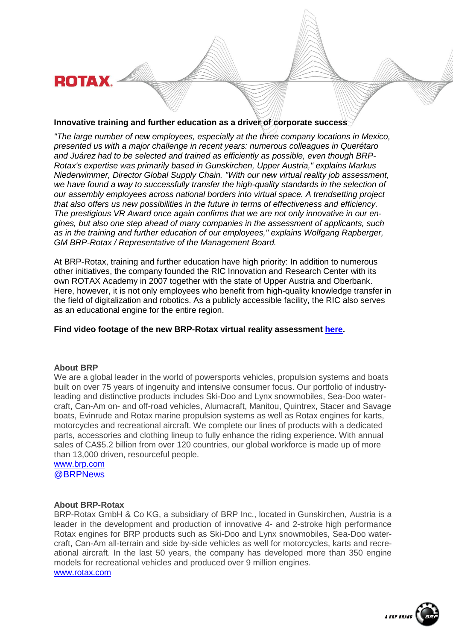**ROTAX** 

## **Innovative training and further education as a driver of corporate success**

*"The large number of new employees, especially at the three company locations in Mexico, presented us with a major challenge in recent years: numerous colleagues in Querétaro and Juárez had to be selected and trained as efficiently as possible, even though BRP-Rotax's expertise was primarily based in Gunskirchen, Upper Austria," explains Markus Niederwimmer, Director Global Supply Chain. "With our new virtual reality job assessment, we have found a way to successfully transfer the high-quality standards in the selection of our assembly employees across national borders into virtual space. A trendsetting project that also offers us new possibilities in the future in terms of effectiveness and efficiency. The prestigious VR Award once again confirms that we are not only innovative in our engines, but also one step ahead of many companies in the assessment of applicants, such as in the training and further education of our employees," explains Wolfgang Rapberger, GM BRP-Rotax / Representative of the Management Board.*

At BRP-Rotax, training and further education have high priority: In addition to numerous other initiatives, the company founded the RIC Innovation and Research Center with its own ROTAX Academy in 2007 together with the state of Upper Austria and Oberbank. Here, however, it is not only employees who benefit from high-quality knowledge transfer in the field of digitalization and robotics. As a publicly accessible facility, the RIC also serves as an educational engine for the entire region.

# **Find video footage of the new BRP-Rotax virtual reality assessment [here.](https://www.youtube.com/watch?v=PdQxZ-5RBP4)**

#### **About BRP**

We are a global leader in the world of powersports vehicles, propulsion systems and boats built on over 75 years of ingenuity and intensive consumer focus. Our portfolio of industryleading and distinctive products includes Ski-Doo and Lynx snowmobiles, Sea-Doo watercraft, Can-Am on- and off-road vehicles, Alumacraft, Manitou, Quintrex, Stacer and Savage boats, Evinrude and Rotax marine propulsion systems as well as Rotax engines for karts, motorcycles and recreational aircraft. We complete our lines of products with a dedicated parts, accessories and clothing lineup to fully enhance the riding experience. With annual sales of CA\$5.2 billion from over 120 countries, our global workforce is made up of more than 13,000 driven, resourceful people.

[www.brp.com](http://www.brp.com/) @BRPNews

#### **About BRP-Rotax**

BRP-Rotax GmbH & Co KG, a subsidiary of BRP Inc., located in Gunskirchen, Austria is a leader in the development and production of innovative 4- and 2-stroke high performance Rotax engines for BRP products such as Ski-Doo and Lynx snowmobiles, Sea-Doo watercraft, Can-Am all-terrain and side by-side vehicles as well for motorcycles, karts and recreational aircraft. In the last 50 years, the company has developed more than 350 engine models for recreational vehicles and produced over 9 million engines. [www.rotax.com](http://www.rotax.com/)